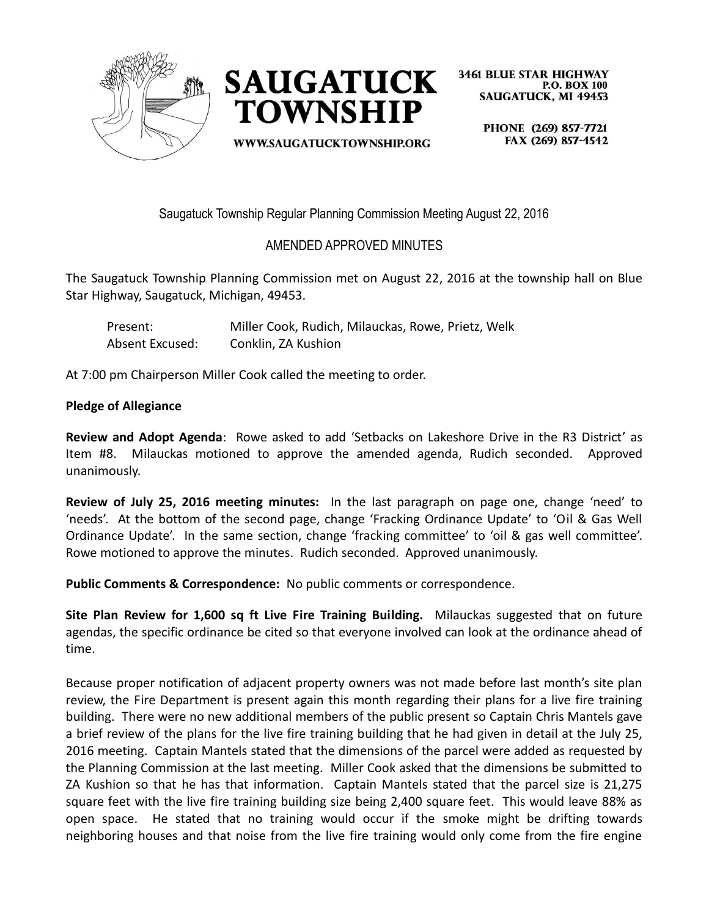



**WWW.SAUGATUCKTOWNSHIP.ORG** 

**3461 BLUE STAR HIGHWAY P.O. BOX 100 SAUGATUCK, MI 49453** 

> PHONE (269) 857-7721 FAX (269) 857-4542

Saugatuck Township Regular Planning Commission Meeting August 22, 2016

## AMENDED APPROVED MINUTES

The Saugatuck Township Planning Commission met on August 22, 2016 at the township hall on Blue Star Highway, Saugatuck, Michigan, 49453.

Present: Miller Cook, Rudich, Milauckas, Rowe, Prietz, Welk Absent Excused: Conklin, ZA Kushion

At 7:00 pm Chairperson Miller Cook called the meeting to order.

## **Pledge of Allegiance**

**Review and Adopt Agenda**: Rowe asked to add 'Setbacks on Lakeshore Drive in the R3 District' as Item #8. Milauckas motioned to approve the amended agenda, Rudich seconded. Approved unanimously.

**Review of July 25, 2016 meeting minutes:** In the last paragraph on page one, change 'need' to 'needs'. At the bottom of the second page, change 'Fracking Ordinance Update' to 'Oil & Gas Well Ordinance Update'. In the same section, change 'fracking committee' to 'oil & gas well committee'. Rowe motioned to approve the minutes. Rudich seconded. Approved unanimously.

**Public Comments & Correspondence:** No public comments or correspondence.

**Site Plan Review for 1,600 sq ft Live Fire Training Building.** Milauckas suggested that on future agendas, the specific ordinance be cited so that everyone involved can look at the ordinance ahead of time.

Because proper notification of adjacent property owners was not made before last month's site plan review, the Fire Department is present again this month regarding their plans for a live fire training building. There were no new additional members of the public present so Captain Chris Mantels gave a brief review of the plans for the live fire training building that he had given in detail at the July 25, 2016 meeting. Captain Mantels stated that the dimensions of the parcel were added as requested by the Planning Commission at the last meeting. Miller Cook asked that the dimensions be submitted to ZA Kushion so that he has that information. Captain Mantels stated that the parcel size is 21,275 square feet with the live fire training building size being 2,400 square feet. This would leave 88% as open space. He stated that no training would occur if the smoke might be drifting towards neighboring houses and that noise from the live fire training would only come from the fire engine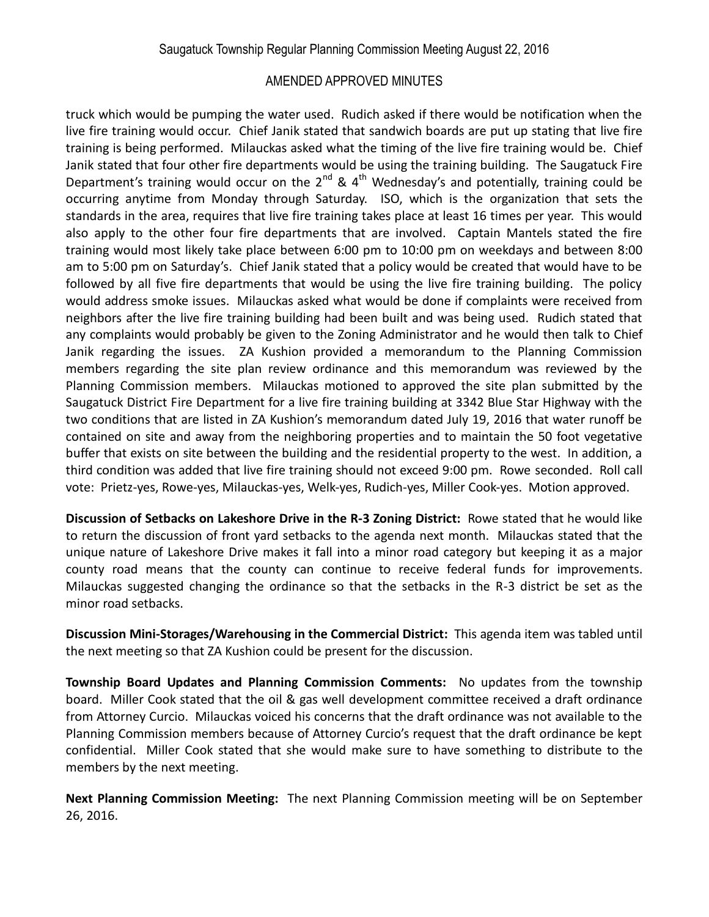## AMENDED APPROVED MINUTES

truck which would be pumping the water used. Rudich asked if there would be notification when the live fire training would occur. Chief Janik stated that sandwich boards are put up stating that live fire training is being performed. Milauckas asked what the timing of the live fire training would be. Chief Janik stated that four other fire departments would be using the training building. The Saugatuck Fire Department's training would occur on the  $2^{nd}$  &  $4^{th}$  Wednesday's and potentially, training could be occurring anytime from Monday through Saturday. ISO, which is the organization that sets the standards in the area, requires that live fire training takes place at least 16 times per year. This would also apply to the other four fire departments that are involved. Captain Mantels stated the fire training would most likely take place between 6:00 pm to 10:00 pm on weekdays and between 8:00 am to 5:00 pm on Saturday's. Chief Janik stated that a policy would be created that would have to be followed by all five fire departments that would be using the live fire training building. The policy would address smoke issues. Milauckas asked what would be done if complaints were received from neighbors after the live fire training building had been built and was being used. Rudich stated that any complaints would probably be given to the Zoning Administrator and he would then talk to Chief Janik regarding the issues. ZA Kushion provided a memorandum to the Planning Commission members regarding the site plan review ordinance and this memorandum was reviewed by the Planning Commission members. Milauckas motioned to approved the site plan submitted by the Saugatuck District Fire Department for a live fire training building at 3342 Blue Star Highway with the two conditions that are listed in ZA Kushion's memorandum dated July 19, 2016 that water runoff be contained on site and away from the neighboring properties and to maintain the 50 foot vegetative buffer that exists on site between the building and the residential property to the west. In addition, a third condition was added that live fire training should not exceed 9:00 pm. Rowe seconded. Roll call vote: Prietz-yes, Rowe-yes, Milauckas-yes, Welk-yes, Rudich-yes, Miller Cook-yes. Motion approved.

**Discussion of Setbacks on Lakeshore Drive in the R-3 Zoning District:** Rowe stated that he would like to return the discussion of front yard setbacks to the agenda next month. Milauckas stated that the unique nature of Lakeshore Drive makes it fall into a minor road category but keeping it as a major county road means that the county can continue to receive federal funds for improvements. Milauckas suggested changing the ordinance so that the setbacks in the R-3 district be set as the minor road setbacks.

**Discussion Mini-Storages/Warehousing in the Commercial District:** This agenda item was tabled until the next meeting so that ZA Kushion could be present for the discussion.

**Township Board Updates and Planning Commission Comments:** No updates from the township board. Miller Cook stated that the oil & gas well development committee received a draft ordinance from Attorney Curcio. Milauckas voiced his concerns that the draft ordinance was not available to the Planning Commission members because of Attorney Curcio's request that the draft ordinance be kept confidential. Miller Cook stated that she would make sure to have something to distribute to the members by the next meeting.

**Next Planning Commission Meeting:** The next Planning Commission meeting will be on September 26, 2016.